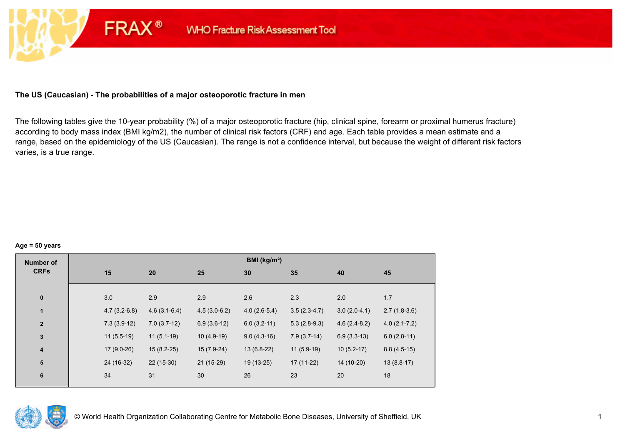# **The US (Caucasian) - The probabilities of a major osteoporotic fracture in men**

**FRAX®** 

The following tables give the 10-year probability (%) of a major osteoporotic fracture (hip, clinical spine, forearm or proximal humerus fracture) according to body mass index (BMI kg/m2), the number of clinical risk factors (CRF) and age. Each table provides a mean estimate and a range, based on the epidemiology of the US (Caucasian). The range is not a confidence interval, but because the weight of different risk factors varies, is a true range.

#### **Age = 50 years**

| <b>Number of</b> |     |                                  |                | BMI (kg/m <sup>2</sup> ) |                |                |                  |
|------------------|-----|----------------------------------|----------------|--------------------------|----------------|----------------|------------------|
| <b>CRFs</b>      | 15  | 20                               | 25             | 30                       | 35             | 40             | 45               |
|                  |     |                                  |                |                          |                |                |                  |
| $\pmb{0}$        | 3.0 | 2.9                              | 2.9            | 2.6                      | 2.3            | 2.0            | 1.7              |
| $\blacksquare$   |     | $4.7(3.2-6.8)$<br>$4.6(3.1-6.4)$ | $4.5(3.0-6.2)$ | $4.0(2.6-5.4)$           | $3.5(2.3-4.7)$ | $3.0(2.0-4.1)$ | $2.7(1.8-3.6)$   |
| $\mathbf{2}$     |     | $7.3(3.9-12)$<br>$7.0(3.7-12)$   | $6.9(3.6-12)$  | $6.0(3.2-11)$            | $5.3(2.8-9.3)$ | $4.6(2.4-8.2)$ | $4.0(2.1 - 7.2)$ |
| $\mathbf 3$      |     | $11(5.5-19)$<br>$11(5.1-19)$     | $10(4.9-19)$   | $9.0(4.3-16)$            | $7.9(3.7-14)$  | $6.9(3.3-13)$  | $6.0(2.8-11)$    |
| 4                |     | $17(9.0-26)$<br>$15(8.2-25)$     | 15 (7.9-24)    | $13(6.8-22)$             | $11(5.9-19)$   | $10(5.2-17)$   | $8.8(4.5-15)$    |
| 5                |     | 24 (16-32)<br>22 (15-30)         | 21 (15-29)     | 19 (13-25)               | $17(11-22)$    | 14 (10-20)     | $13(8.8-17)$     |
| 6                | 34  | 31                               | 30             | 26                       | 23             | 20             | 18               |
|                  |     |                                  |                |                          |                |                |                  |

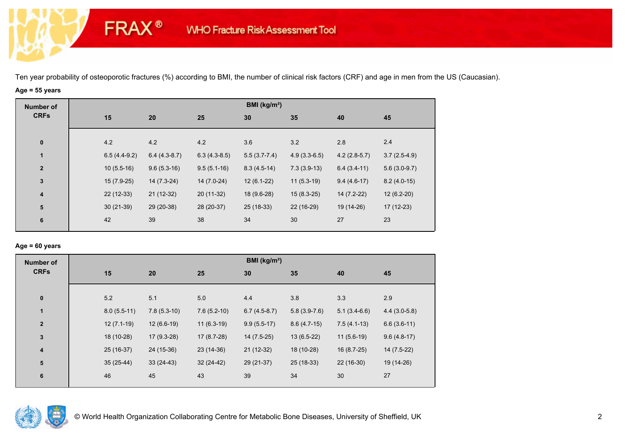# **Age = 55 years**

**FRAX®** 

| <b>CRFs</b><br>15<br>20<br>30<br>25<br>35<br>45<br>40<br>4.2<br>3.6<br>4.2<br>4.2<br>3.2<br>2.8<br>2.4<br>$\bf{0}$<br>$3.7(2.5-4.9)$<br>$\mathbf{1}$<br>$6.4(4.3-8.7)$<br>$4.9(3.3-6.5)$<br>$4.2(2.8-5.7)$<br>$6.5(4.4-9.2)$<br>$6.3(4.3-8.5)$<br>$5.5(3.7-7.4)$<br>$9.6(5.3-16)$<br>$9.5(5.1-16)$<br>$7.3(3.9-13)$<br>$10(5.5-16)$<br>$8.3(4.5-14)$<br>$6.4(3.4-11)$<br>$5.6(3.0-9.7)$<br>$\overline{2}$<br>$\mathbf{3}$<br>$14(7.0-24)$<br>$12(6.1-22)$<br>$11(5.3-19)$<br>$15(7.9-25)$<br>$14(7.3-24)$<br>$9.4(4.6-17)$<br>$8.2(4.0-15)$<br>$22(12-33)$<br>$21(12-32)$<br>14 (7.2-22)<br>20 (11-32)<br>18 (9.6-28)<br>$15(8.3-25)$<br>$12(6.2-20)$<br>4<br>${\bf 5}$<br>$30(21-39)$<br>29 (20-38)<br>28 (20-37)<br>25 (18-33)<br>22 (16-29)<br>19 (14-26)<br>$17(12-23)$<br>38<br>30<br>23<br>42<br>39<br>34<br>27<br>6 | <b>Number of</b> |  |  | BMI ( $kg/m2$ ) |  |  |
|----------------------------------------------------------------------------------------------------------------------------------------------------------------------------------------------------------------------------------------------------------------------------------------------------------------------------------------------------------------------------------------------------------------------------------------------------------------------------------------------------------------------------------------------------------------------------------------------------------------------------------------------------------------------------------------------------------------------------------------------------------------------------------------------------------------------------|------------------|--|--|-----------------|--|--|
|                                                                                                                                                                                                                                                                                                                                                                                                                                                                                                                                                                                                                                                                                                                                                                                                                            |                  |  |  |                 |  |  |
|                                                                                                                                                                                                                                                                                                                                                                                                                                                                                                                                                                                                                                                                                                                                                                                                                            |                  |  |  |                 |  |  |
|                                                                                                                                                                                                                                                                                                                                                                                                                                                                                                                                                                                                                                                                                                                                                                                                                            |                  |  |  |                 |  |  |
|                                                                                                                                                                                                                                                                                                                                                                                                                                                                                                                                                                                                                                                                                                                                                                                                                            |                  |  |  |                 |  |  |
|                                                                                                                                                                                                                                                                                                                                                                                                                                                                                                                                                                                                                                                                                                                                                                                                                            |                  |  |  |                 |  |  |
|                                                                                                                                                                                                                                                                                                                                                                                                                                                                                                                                                                                                                                                                                                                                                                                                                            |                  |  |  |                 |  |  |
|                                                                                                                                                                                                                                                                                                                                                                                                                                                                                                                                                                                                                                                                                                                                                                                                                            |                  |  |  |                 |  |  |
|                                                                                                                                                                                                                                                                                                                                                                                                                                                                                                                                                                                                                                                                                                                                                                                                                            |                  |  |  |                 |  |  |

## **Age = 60 years**

| <b>Number of</b> |               |               |               | BMI ( $kg/m2$ ) |                |                |                |
|------------------|---------------|---------------|---------------|-----------------|----------------|----------------|----------------|
| <b>CRFs</b>      | 15            | 20            | 25            | 30              | 35             | 40             | 45             |
|                  |               |               |               |                 |                |                |                |
| $\bf{0}$         | 5.2           | 5.1           | 5.0           | 4.4             | 3.8            | 3.3            | 2.9            |
| $\mathbf{1}$     | $8.0(5.5-11)$ | $7.8(5.3-10)$ | $7.6(5.2-10)$ | $6.7(4.5-8.7)$  | $5.8(3.9-7.6)$ | $5.1(3.4-6.6)$ | $4.4(3.0-5.8)$ |
| $\overline{2}$   | $12(7.1-19)$  | $12(6.6-19)$  | $11(6.3-19)$  | $9.9(5.5-17)$   | $8.6(4.7-15)$  | $7.5(4.1-13)$  | $6.6(3.6-11)$  |
| $\mathbf{3}$     | 18 (10-28)    | $17(9.3-28)$  | $17(8.7-28)$  | $14(7.5-25)$    | $13(6.5-22)$   | $11(5.6-19)$   | $9.6(4.8-17)$  |
| 4                | 25 (16-37)    | 24 (15-36)    | 23 (14-36)    | $21(12-32)$     | 18 (10-28)     | 16 (8.7-25)    | 14 (7.5-22)    |
| 5                | $35(25-44)$   | $33(24-43)$   | $32(24-42)$   | 29 (21-37)      | 25 (18-33)     | $22(16-30)$    | 19 (14-26)     |
| $6\phantom{1}6$  | 46            | 45            | 43            | 39              | 34             | 30             | 27             |

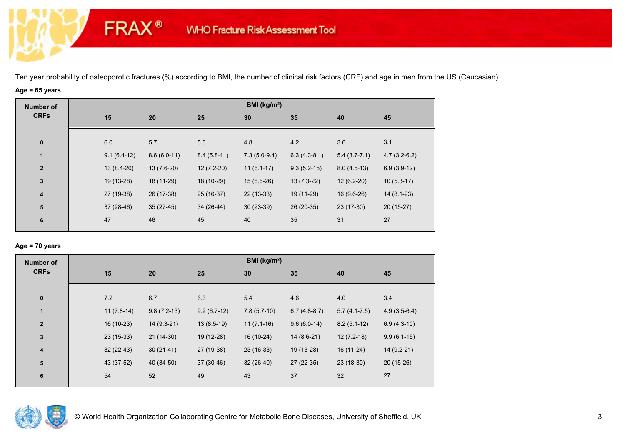# **Age = 65 years**

**FRAX®** 

| <b>Number of</b> |               |               |               | BMI ( $kg/m2$ ) |                |                  |                |
|------------------|---------------|---------------|---------------|-----------------|----------------|------------------|----------------|
| <b>CRFs</b>      | 15            | 20            | 25            | 30              | 35             | 40               | 45             |
|                  |               |               |               |                 |                |                  |                |
| $\pmb{0}$        | 6.0           | 5.7           | 5.6           | 4.8             | 4.2            | 3.6              | 3.1            |
| $\mathbf 1$      | $9.1(6.4-12)$ | $8.6(6.0-11)$ | $8.4(5.8-11)$ | $7.3(5.0-9.4)$  | $6.3(4.3-8.1)$ | $5.4(3.7 - 7.1)$ | $4.7(3.2-6.2)$ |
| $\overline{2}$   | $13(8.4-20)$  | $13(7.6-20)$  | $12(7.2-20)$  | $11(6.1-17)$    | $9.3(5.2-15)$  | $8.0(4.5-13)$    | $6.9(3.9-12)$  |
| $\mathbf{3}$     | 19 (13-28)    | 18 (11-29)    | 18 (10-29)    | $15(8.6-26)$    | $13(7.3-22)$   | $12(6.2-20)$     | $10(5.3-17)$   |
| 4                | 27 (19-38)    | 26 (17-38)    | 25 (16-37)    | $22(13-33)$     | 19 (11-29)     | 16 (9.6-26)      | $14(8.1-23)$   |
| ${\bf 5}$        | $37(28-46)$   | $35(27-45)$   | $34(26-44)$   | $30(23-39)$     | 26 (20-35)     | 23 (17-30)       | $20(15-27)$    |
| $\bf 6$          | 47            | 46            | 45            | 40              | 35             | 31               | 27             |
|                  |               |               |               |                 |                |                  |                |

## **Age = 70 years**

| <b>Number of</b> |              |               |               | BMI ( $kg/m2$ ) |                |                |                |
|------------------|--------------|---------------|---------------|-----------------|----------------|----------------|----------------|
| <b>CRFs</b>      | 15           | 20            | 25            | 30              | 35             | 40             | 45             |
|                  |              |               |               |                 |                |                |                |
| $\bf{0}$         | 7.2          | 6.7           | 6.3           | 5.4             | 4.6            | 4.0            | 3.4            |
| $\mathbf{1}$     | $11(7.8-14)$ | $9.8(7.2-13)$ | $9.2(6.7-12)$ | $7.8(5.7-10)$   | $6.7(4.8-8.7)$ | $5.7(4.1-7.5)$ | $4.9(3.5-6.4)$ |
| $\boldsymbol{2}$ | 16 (10-23)   | $14(9.3-21)$  | $13(8.5-19)$  | $11(7.1-16)$    | $9.6(6.0-14)$  | $8.2(5.1-12)$  | $6.9(4.3-10)$  |
| 3                | $23(15-33)$  | $21(14-30)$   | 19 (12-28)    | 16 (10-24)      | $14(8.6-21)$   | $12(7.2-18)$   | $9.9(6.1-15)$  |
| $\boldsymbol{4}$ | $32(22-43)$  | $30(21-41)$   | 27 (19-38)    | $23(16-33)$     | 19 (13-28)     | $16(11-24)$    | 14 (9.2-21)    |
| 5                | 43 (37-52)   | 40 (34-50)    | 37 (30-46)    | $32(26-40)$     | 27 (22-35)     | $23(18-30)$    | $20(15-26)$    |
| $6\phantom{1}6$  | 54           | 52            | 49            | 43              | 37             | 32             | 27             |
|                  |              |               |               |                 |                |                |                |

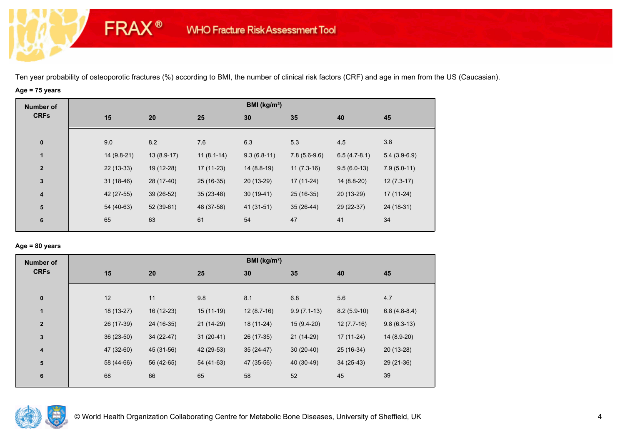# **Age = 75 years**

**FRAX®** 

| <b>Number of</b> |    |             |              |              | BMI ( $kg/m2$ ) |                |                |                |
|------------------|----|-------------|--------------|--------------|-----------------|----------------|----------------|----------------|
| <b>CRFs</b>      | 15 |             | 20           | 25           | 30              | 35             | 40             | 45             |
|                  |    |             |              |              |                 |                |                |                |
| $\pmb{0}$        |    | 9.0         | 8.2          | 7.6          | 6.3             | 5.3            | 4.5            | 3.8            |
| $\mathbf{1}$     |    | 14 (9.8-21) | $13(8.9-17)$ | $11(8.1-14)$ | $9.3(6.8-11)$   | $7.8(5.6-9.6)$ | $6.5(4.7-8.1)$ | $5.4(3.9-6.9)$ |
| $\mathbf{2}$     |    | $22(13-33)$ | 19 (12-28)   | $17(11-23)$  | $14(8.8-19)$    | $11(7.3-16)$   | $9.5(6.0-13)$  | $7.9(5.0-11)$  |
| $\mathbf{3}$     |    | $31(18-46)$ | 28 (17-40)   | 25 (16-35)   | $20(13-29)$     | $17(11-24)$    | 14 (8.8-20)    | $12(7.3-17)$   |
| 4                |    | 42 (27-55)  | 39 (26-52)   | $35(23-48)$  | $30(19-41)$     | 25 (16-35)     | 20 (13-29)     | $17(11-24)$    |
| ${\bf 5}$        |    | 54 (40-63)  | $52(39-61)$  | 48 (37-58)   | 41 (31-51)      | $35(26-44)$    | 29 (22-37)     | 24 (18-31)     |
| 6                | 65 |             | 63           | 61           | 54              | 47             | 41             | 34             |
|                  |    |             |              |              |                 |                |                |                |

## **Age = 80 years**

| <b>Number of</b> |             |            |             | BMI ( $kg/m2$ ) |               |               |                |
|------------------|-------------|------------|-------------|-----------------|---------------|---------------|----------------|
| <b>CRFs</b>      | 15          | 20         | 25          | 30              | 35            | 40            | 45             |
|                  |             |            |             |                 |               |               |                |
| $\pmb{0}$        | 12          | 11         | 9.8         | 8.1             | 6.8           | 5.6           | 4.7            |
| $\mathbf{1}$     | 18 (13-27)  | 16 (12-23) | $15(11-19)$ | $12(8.7-16)$    | $9.9(7.1-13)$ | $8.2(5.9-10)$ | $6.8(4.8-8.4)$ |
| $\overline{2}$   | 26 (17-39)  | 24 (16-35) | $21(14-29)$ | 18 (11-24)      | $15(9.4-20)$  | $12(7.7-16)$  | $9.8(6.3-13)$  |
| $\mathbf{3}$     | $36(23-50)$ | 34 (22-47) | $31(20-41)$ | 26 (17-35)      | 21 (14-29)    | $17(11-24)$   | 14 (8.9-20)    |
| 4                | 47 (32-60)  | 45 (31-56) | 42 (29-53)  | $35(24-47)$     | $30(20-40)$   | 25 (16-34)    | 20 (13-28)     |
| 5                | 58 (44-66)  | 56 (42-65) | 54 (41-63)  | 47 (35-56)      | 40 (30-49)    | $34(25-43)$   | 29 (21-36)     |
| 6                | 68          | 66         | 65          | 58              | 52            | 45            | 39             |
|                  |             |            |             |                 |               |               |                |